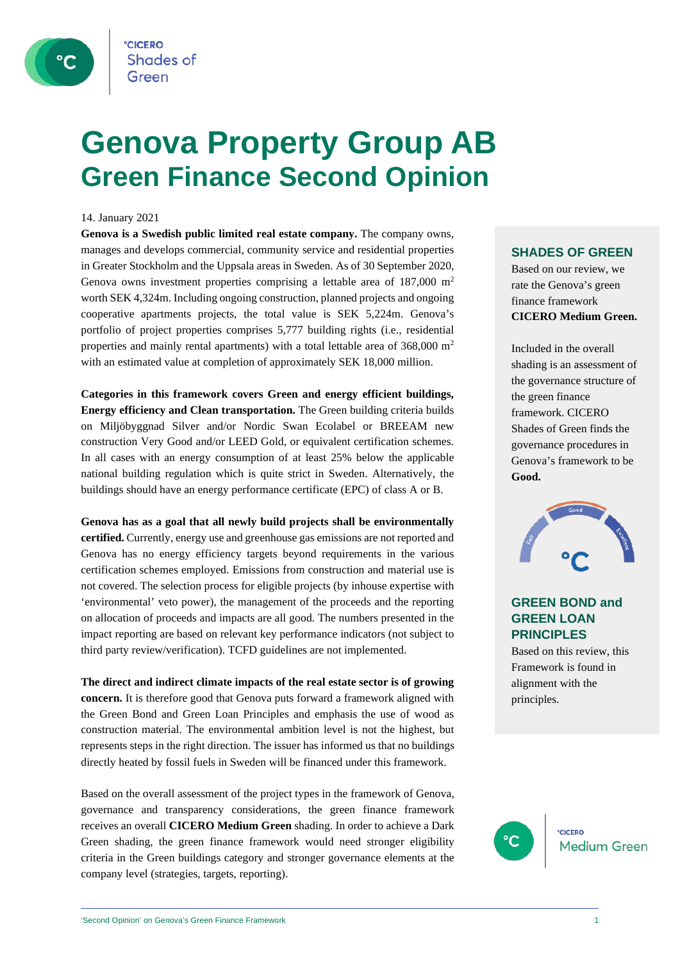

### **Genova Property Group AB Green Finance Second Opinion**

#### 14. January 2021

**Genova is a Swedish public limited real estate company.** The company owns, manages and develops commercial, community service and residential properties in Greater Stockholm and the Uppsala areas in Sweden. As of 30 September 2020, Genova owns investment properties comprising a lettable area of 187,000 m2 worth SEK 4,324m. Including ongoing construction, planned projects and ongoing cooperative apartments projects, the total value is SEK 5,224m. Genova's portfolio of project properties comprises 5,777 building rights (i.e., residential properties and mainly rental apartments) with a total lettable area of  $368,000 \text{ m}^2$ with an estimated value at completion of approximately SEK 18,000 million.

**Categories in this framework covers Green and energy efficient buildings, Energy efficiency and Clean transportation.** The Green building criteria builds on Miljöbyggnad Silver and/or Nordic Swan Ecolabel or BREEAM new construction Very Good and/or LEED Gold, or equivalent certification schemes. In all cases with an energy consumption of at least 25% below the applicable national building regulation which is quite strict in Sweden. Alternatively, the buildings should have an energy performance certificate (EPC) of class A or B.

**Genova has as a goal that all newly build projects shall be environmentally certified.** Currently, energy use and greenhouse gas emissions are not reported and Genova has no energy efficiency targets beyond requirements in the various certification schemes employed. Emissions from construction and material use is not covered. The selection process for eligible projects (by inhouse expertise with 'environmental' veto power), the management of the proceeds and the reporting on allocation of proceeds and impacts are all good. The numbers presented in the impact reporting are based on relevant key performance indicators (not subject to third party review/verification). TCFD guidelines are not implemented.

**The direct and indirect climate impacts of the real estate sector is of growing concern.** It is therefore good that Genova puts forward a framework aligned with the Green Bond and Green Loan Principles and emphasis the use of wood as construction material. The environmental ambition level is not the highest, but represents steps in the right direction. The issuer has informed us that no buildings directly heated by fossil fuels in Sweden will be financed under this framework.

Based on the overall assessment of the project types in the framework of Genova, governance and transparency considerations, the green finance framework receives an overall **CICERO Medium Green** shading. In order to achieve a Dark Green shading, the green finance framework would need stronger eligibility criteria in the Green buildings category and stronger governance elements at the company level (strategies, targets, reporting).

### **SHADES OF GREEN**

Based on our review, we rate the Genova's green finance framework **CICERO Medium Green.** 

Included in the overall shading is an assessment of the governance structure of the green finance framework. CICERO Shades of Green finds the governance procedures in Genova's framework to be **Good.**



### **GREEN BOND and GREEN LOAN PRINCIPLES**

Based on this review, this Framework is found in alignment with the principles.

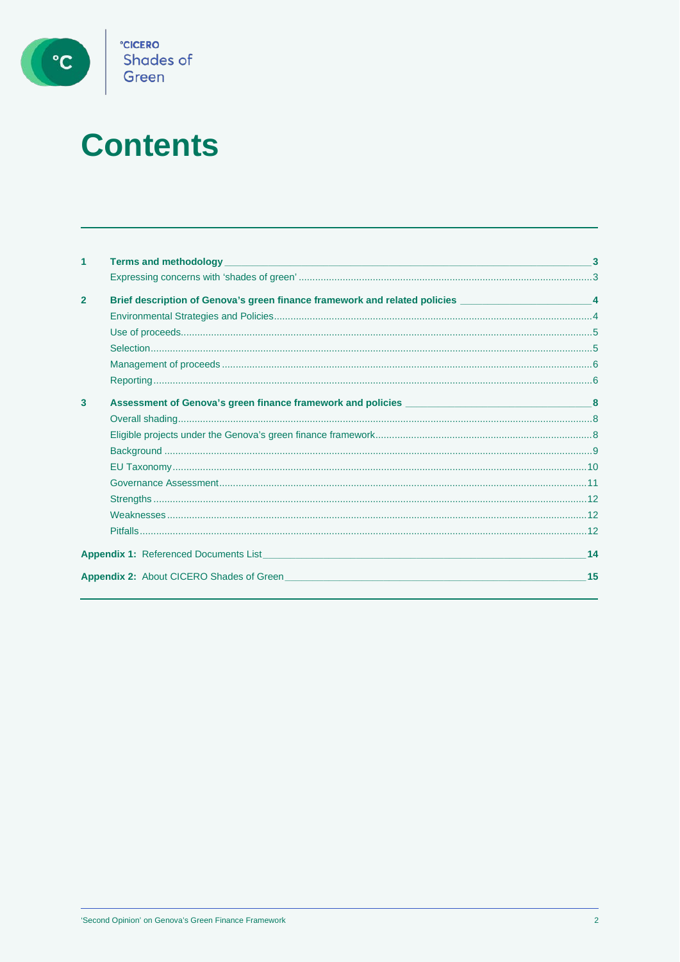

# **Contents**

| 1              |                                                                                                       |    |
|----------------|-------------------------------------------------------------------------------------------------------|----|
|                |                                                                                                       |    |
| $\overline{2}$ | Brief description of Genova's green finance framework and related policies _________________________4 |    |
|                |                                                                                                       |    |
|                |                                                                                                       |    |
|                |                                                                                                       |    |
|                |                                                                                                       |    |
|                |                                                                                                       |    |
| $\mathbf{3}$   |                                                                                                       |    |
|                |                                                                                                       |    |
|                |                                                                                                       |    |
|                |                                                                                                       |    |
|                |                                                                                                       |    |
|                |                                                                                                       |    |
|                |                                                                                                       |    |
|                |                                                                                                       |    |
|                |                                                                                                       |    |
|                | <b>Appendix 1:</b> Referenced Documents List <b>Appendix 1: Referenced</b> Documents List             | 14 |
|                |                                                                                                       | 15 |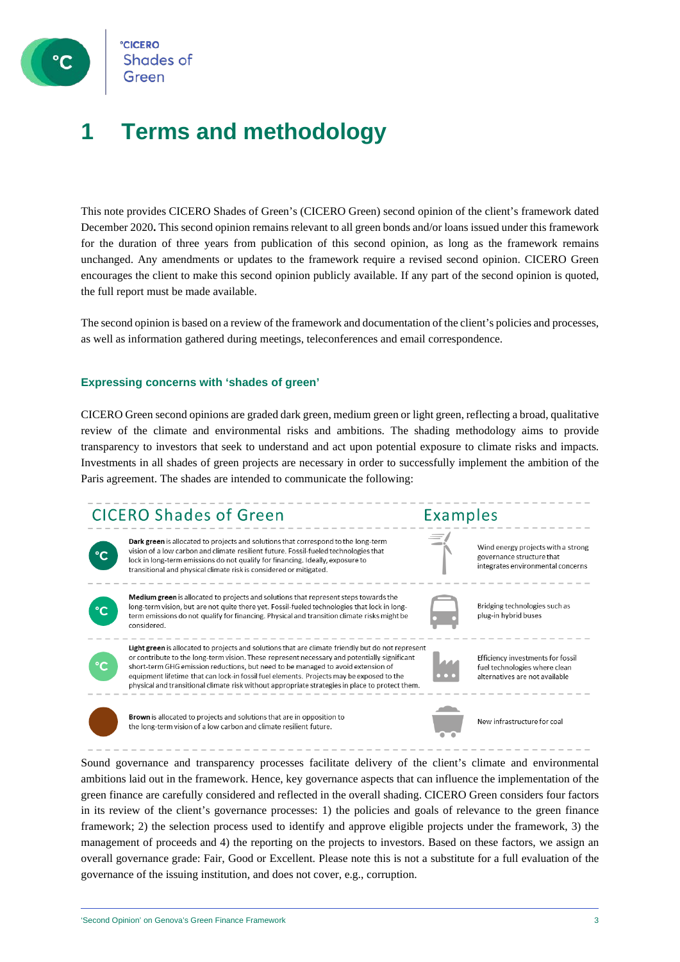

**CICERO Shades of** 

### **1 Terms and methodology**

This note provides CICERO Shades of Green's (CICERO Green) second opinion of the client's framework dated December 2020**.** This second opinion remains relevant to all green bonds and/or loans issued under this framework for the duration of three years from publication of this second opinion, as long as the framework remains unchanged. Any amendments or updates to the framework require a revised second opinion. CICERO Green encourages the client to make this second opinion publicly available. If any part of the second opinion is quoted, the full report must be made available.

The second opinion is based on a review of the framework and documentation of the client's policies and processes, as well as information gathered during meetings, teleconferences and email correspondence.

#### **Expressing concerns with 'shades of green'**

CICERO Green second opinions are graded dark green, medium green or light green, reflecting a broad, qualitative review of the climate and environmental risks and ambitions. The shading methodology aims to provide transparency to investors that seek to understand and act upon potential exposure to climate risks and impacts. Investments in all shades of green projects are necessary in order to successfully implement the ambition of the Paris agreement. The shades are intended to communicate the following:



Sound governance and transparency processes facilitate delivery of the client's climate and environmental ambitions laid out in the framework. Hence, key governance aspects that can influence the implementation of the green finance are carefully considered and reflected in the overall shading. CICERO Green considers four factors in its review of the client's governance processes: 1) the policies and goals of relevance to the green finance framework; 2) the selection process used to identify and approve eligible projects under the framework, 3) the management of proceeds and 4) the reporting on the projects to investors. Based on these factors, we assign an overall governance grade: Fair, Good or Excellent. Please note this is not a substitute for a full evaluation of the governance of the issuing institution, and does not cover, e.g., corruption.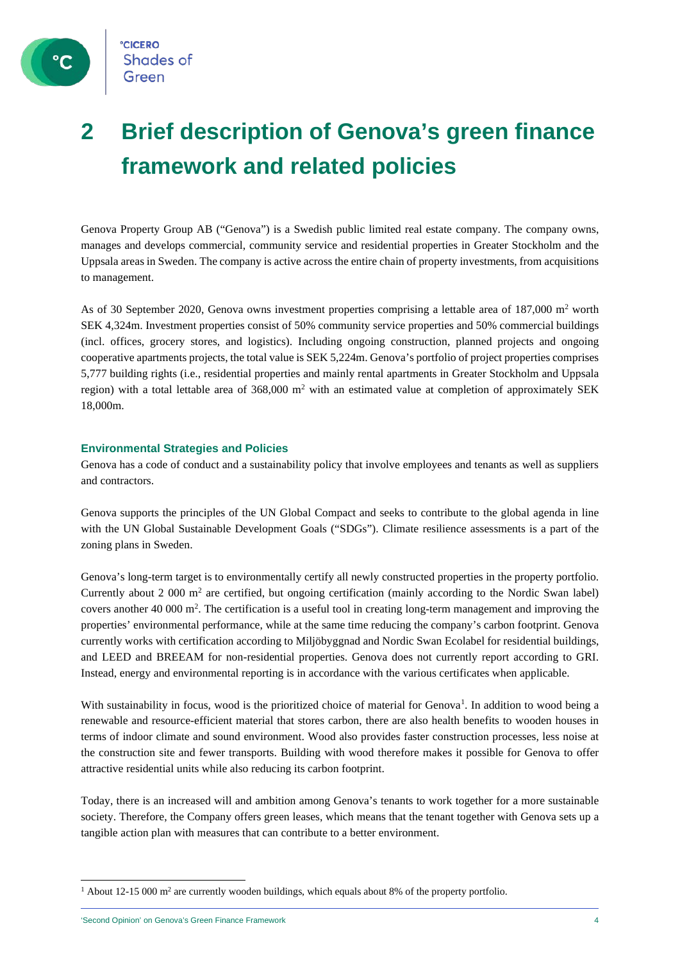

### **2 Brief description of Genova's green finance framework and related policies**

Genova Property Group AB ("Genova") is a Swedish public limited real estate company. The company owns, manages and develops commercial, community service and residential properties in Greater Stockholm and the Uppsala areas in Sweden. The company is active across the entire chain of property investments, from acquisitions to management.

As of 30 September 2020, Genova owns investment properties comprising a lettable area of 187,000  $m<sup>2</sup>$  worth SEK 4,324m. Investment properties consist of 50% community service properties and 50% commercial buildings (incl. offices, grocery stores, and logistics). Including ongoing construction, planned projects and ongoing cooperative apartments projects, the total value is SEK 5,224m. Genova's portfolio of project properties comprises 5,777 building rights (i.e., residential properties and mainly rental apartments in Greater Stockholm and Uppsala region) with a total lettable area of  $368,000$  m<sup>2</sup> with an estimated value at completion of approximately SEK 18,000m.

### **Environmental Strategies and Policies**

Genova has a code of conduct and a sustainability policy that involve employees and tenants as well as suppliers and contractors.

Genova supports the principles of the UN Global Compact and seeks to contribute to the global agenda in line with the UN Global Sustainable Development Goals ("SDGs"). Climate resilience assessments is a part of the zoning plans in Sweden.

Genova's long-term target is to environmentally certify all newly constructed properties in the property portfolio. Currently about 2 000  $m<sup>2</sup>$  are certified, but ongoing certification (mainly according to the Nordic Swan label) covers another 40 000  $\text{m}^2$ . The certification is a useful tool in creating long-term management and improving the properties' environmental performance, while at the same time reducing the company's carbon footprint. Genova currently works with certification according to Miljöbyggnad and Nordic Swan Ecolabel for residential buildings, and LEED and BREEAM for non-residential properties. Genova does not currently report according to GRI. Instead, energy and environmental reporting is in accordance with the various certificates when applicable.

With sustainability in focus, wood is the prioritized choice of material for Genova<sup>[1](#page-3-0)</sup>. In addition to wood being a renewable and resource-efficient material that stores carbon, there are also health benefits to wooden houses in terms of indoor climate and sound environment. Wood also provides faster construction processes, less noise at the construction site and fewer transports. Building with wood therefore makes it possible for Genova to offer attractive residential units while also reducing its carbon footprint.

Today, there is an increased will and ambition among Genova's tenants to work together for a more sustainable society. Therefore, the Company offers green leases, which means that the tenant together with Genova sets up a tangible action plan with measures that can contribute to a better environment.

<span id="page-3-0"></span> $1$  About 12-15 000 m<sup>2</sup> are currently wooden buildings, which equals about 8% of the property portfolio.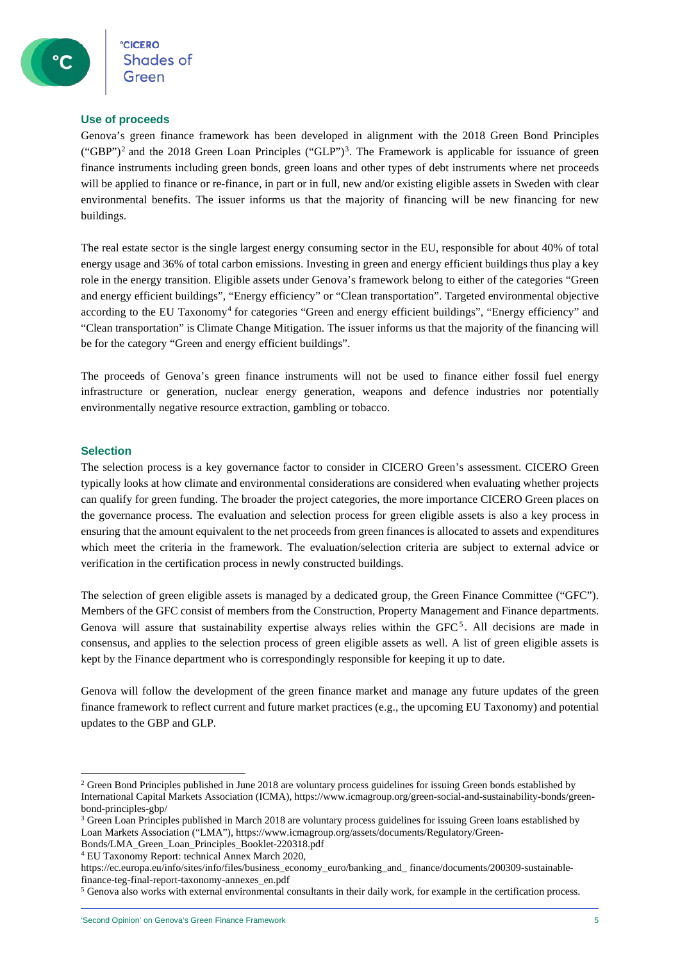### **Use of proceeds**

Genova's green finance framework has been developed in alignment with the 2018 Green Bond Principles  $({}^\circ$ GBP")<sup>[2](#page-4-0)</sup> and the 2018 Green Loan Principles  $({}^\circ$ GLP")<sup>3</sup>. The Framework is applicable for issuance of green finance instruments including green bonds, green loans and other types of debt instruments where net proceeds will be applied to finance or re-finance, in part or in full, new and/or existing eligible assets in Sweden with clear environmental benefits. The issuer informs us that the majority of financing will be new financing for new buildings.

The real estate sector is the single largest energy consuming sector in the EU, responsible for about 40% of total energy usage and 36% of total carbon emissions. Investing in green and energy efficient buildings thus play a key role in the energy transition. Eligible assets under Genova's framework belong to either of the categories "Green and energy efficient buildings", "Energy efficiency" or "Clean transportation". Targeted environmental objective according to the EU Taxonomy[4](#page-4-2) for categories "Green and energy efficient buildings", "Energy efficiency" and "Clean transportation" is Climate Change Mitigation. The issuer informs us that the majority of the financing will be for the category "Green and energy efficient buildings".

The proceeds of Genova's green finance instruments will not be used to finance either fossil fuel energy infrastructure or generation, nuclear energy generation, weapons and defence industries nor potentially environmentally negative resource extraction, gambling or tobacco.

### **Selection**

The selection process is a key governance factor to consider in CICERO Green's assessment. CICERO Green typically looks at how climate and environmental considerations are considered when evaluating whether projects can qualify for green funding. The broader the project categories, the more importance CICERO Green places on the governance process. The evaluation and selection process for green eligible assets is also a key process in ensuring that the amount equivalent to the net proceeds from green finances is allocated to assets and expenditures which meet the criteria in the framework. The evaluation/selection criteria are subject to external advice or verification in the certification process in newly constructed buildings.

The selection of green eligible assets is managed by a dedicated group, the Green Finance Committee ("GFC"). Members of the GFC consist of members from the Construction, Property Management and Finance departments. Genova will assure that sustainability expertise always relies within the GFC<sup>[5](#page-4-3)</sup>. All decisions are made in consensus, and applies to the selection process of green eligible assets as well. A list of green eligible assets is kept by the Finance department who is correspondingly responsible for keeping it up to date.

Genova will follow the development of the green finance market and manage any future updates of the green finance framework to reflect current and future market practices (e.g., the upcoming EU Taxonomy) and potential updates to the GBP and GLP.

<span id="page-4-0"></span><sup>&</sup>lt;sup>2</sup> Green Bond Principles published in June 2018 are voluntary process guidelines for issuing Green bonds established by International Capital Markets Association (ICMA), https://www.icmagroup.org/green-social-and-sustainability-bonds/greenbond-principles-gbp/

<span id="page-4-1"></span><sup>&</sup>lt;sup>3</sup> Green Loan Principles published in March 2018 are voluntary process guidelines for issuing Green loans established by Loan Markets Association ("LMA"), https://www.icmagroup.org/assets/documents/Regulatory/Green-

Bonds/LMA\_Green\_Loan\_Principles\_Booklet-220318.pdf

<span id="page-4-2"></span><sup>4</sup> EU Taxonomy Report: technical Annex March 2020,

https://ec.europa.eu/info/sites/info/files/business\_economy\_euro/banking\_and\_ finance/documents/200309-sustainablefinance-teg-final-report-taxonomy-annexes\_en.pdf

<span id="page-4-3"></span><sup>5</sup> Genova also works with external environmental consultants in their daily work, for example in the certification process.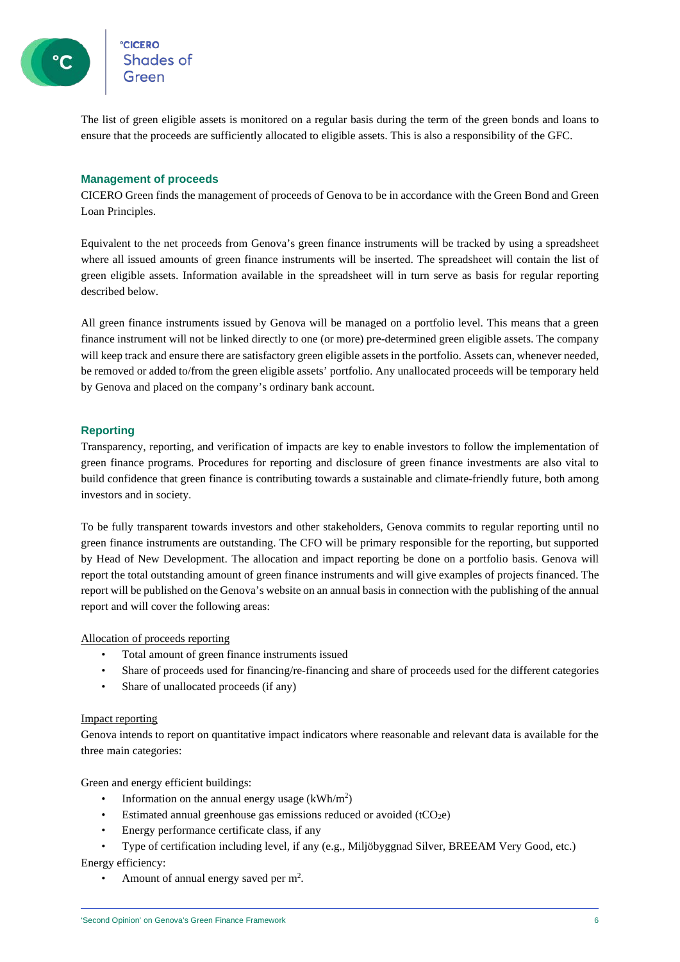**CICERO**<br>Shades of

The list of green eligible assets is monitored on a regular basis during the term of the green bonds and loans to ensure that the proceeds are sufficiently allocated to eligible assets. This is also a responsibility of the GFC.

### **Management of proceeds**

CICERO Green finds the management of proceeds of Genova to be in accordance with the Green Bond and Green Loan Principles.

Equivalent to the net proceeds from Genova's green finance instruments will be tracked by using a spreadsheet where all issued amounts of green finance instruments will be inserted. The spreadsheet will contain the list of green eligible assets. Information available in the spreadsheet will in turn serve as basis for regular reporting described below.

All green finance instruments issued by Genova will be managed on a portfolio level. This means that a green finance instrument will not be linked directly to one (or more) pre-determined green eligible assets. The company will keep track and ensure there are satisfactory green eligible assets in the portfolio. Assets can, whenever needed, be removed or added to/from the green eligible assets' portfolio. Any unallocated proceeds will be temporary held by Genova and placed on the company's ordinary bank account.

### **Reporting**

Transparency, reporting, and verification of impacts are key to enable investors to follow the implementation of green finance programs. Procedures for reporting and disclosure of green finance investments are also vital to build confidence that green finance is contributing towards a sustainable and climate-friendly future, both among investors and in society.

To be fully transparent towards investors and other stakeholders, Genova commits to regular reporting until no green finance instruments are outstanding. The CFO will be primary responsible for the reporting, but supported by Head of New Development. The allocation and impact reporting be done on a portfolio basis. Genova will report the total outstanding amount of green finance instruments and will give examples of projects financed. The report will be published on the Genova's website on an annual basis in connection with the publishing of the annual report and will cover the following areas:

Allocation of proceeds reporting

- Total amount of green finance instruments issued
- Share of proceeds used for financing/re-financing and share of proceeds used for the different categories
- Share of unallocated proceeds (if any)

#### Impact reporting

Genova intends to report on quantitative impact indicators where reasonable and relevant data is available for the three main categories:

Green and energy efficient buildings:

- Information on the annual energy usage  $(kWh/m^2)$
- Estimated annual greenhouse gas emissions reduced or avoided  $(tCO<sub>2</sub>e)$
- Energy performance certificate class, if any
- Type of certification including level, if any (e.g., Miljöbyggnad Silver, BREEAM Very Good, etc.) Energy efficiency:
	- Amount of annual energy saved per m<sup>2</sup>.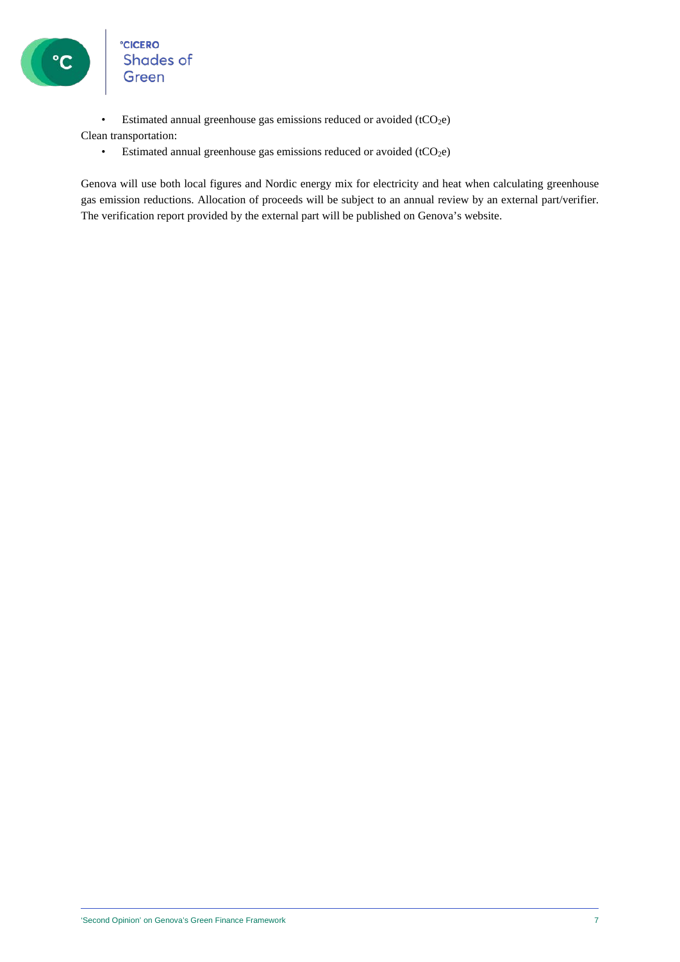

°cicero<br>Shades of<br>Green

• Estimated annual greenhouse gas emissions reduced or avoided  $(tCO<sub>2</sub>e)$ 

Clean transportation:

• Estimated annual greenhouse gas emissions reduced or avoided  $(tCO<sub>2</sub>e)$ 

Genova will use both local figures and Nordic energy mix for electricity and heat when calculating greenhouse gas emission reductions. Allocation of proceeds will be subject to an annual review by an external part/verifier. The verification report provided by the external part will be published on Genova's website.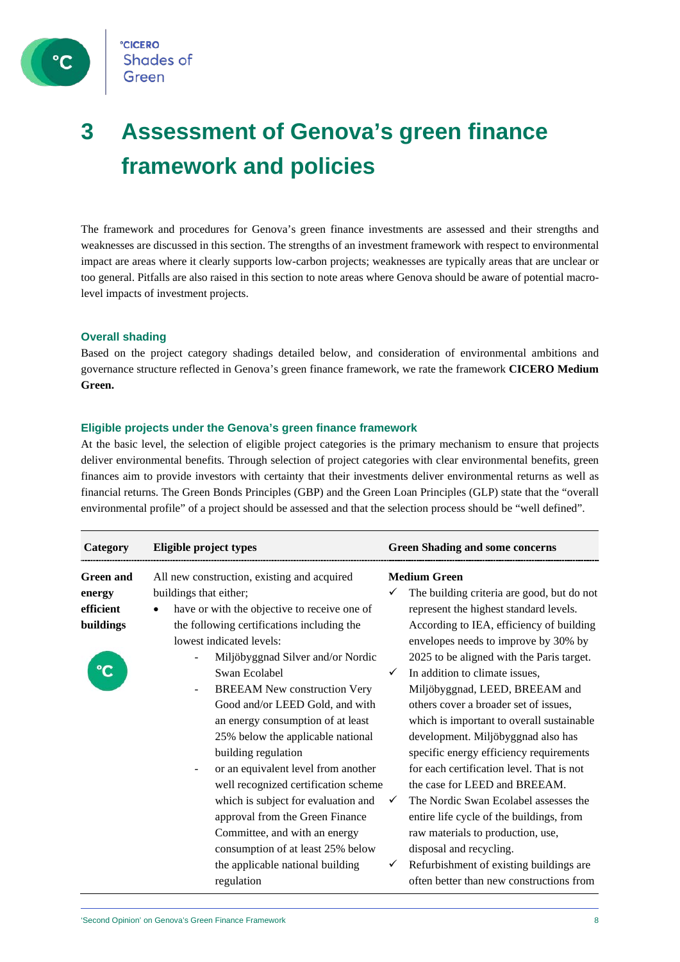

### **3 Assessment of Genova's green finance framework and policies**

The framework and procedures for Genova's green finance investments are assessed and their strengths and weaknesses are discussed in this section. The strengths of an investment framework with respect to environmental impact are areas where it clearly supports low-carbon projects; weaknesses are typically areas that are unclear or too general. Pitfalls are also raised in this section to note areas where Genova should be aware of potential macrolevel impacts of investment projects.

### **Overall shading**

Based on the project category shadings detailed below, and consideration of environmental ambitions and governance structure reflected in Genova's green finance framework, we rate the framework **CICERO Medium Green.**

### **Eligible projects under the Genova's green finance framework**

At the basic level, the selection of eligible project categories is the primary mechanism to ensure that projects deliver environmental benefits. Through selection of project categories with clear environmental benefits, green finances aim to provide investors with certainty that their investments deliver environmental returns as well as financial returns. The Green Bonds Principles (GBP) and the Green Loan Principles (GLP) state that the "overall environmental profile" of a project should be assessed and that the selection process should be "well defined".

| Category                                             | Eligible project types                                                                                                                                                                                                                                                        | <b>Green Shading and some concerns</b>                                                                                                                                                                                                                                               |
|------------------------------------------------------|-------------------------------------------------------------------------------------------------------------------------------------------------------------------------------------------------------------------------------------------------------------------------------|--------------------------------------------------------------------------------------------------------------------------------------------------------------------------------------------------------------------------------------------------------------------------------------|
| <b>Green and</b><br>energy<br>efficient<br>buildings | All new construction, existing and acquired<br>buildings that either;<br>have or with the objective to receive one of<br>the following certifications including the<br>lowest indicated levels:<br>Miljöbyggnad Silver and/or Nordic                                          | <b>Medium Green</b><br>The building criteria are good, but do not<br>represent the highest standard levels.<br>According to IEA, efficiency of building<br>envelopes needs to improve by 30% by<br>2025 to be aligned with the Paris target.                                         |
|                                                      | Swan Ecolabel<br><b>BREEAM New construction Very</b><br>Good and/or LEED Gold, and with<br>an energy consumption of at least<br>25% below the applicable national<br>building regulation                                                                                      | In addition to climate issues,<br>Miljöbyggnad, LEED, BREEAM and<br>others cover a broader set of issues,<br>which is important to overall sustainable<br>development. Miljöbyggnad also has<br>specific energy efficiency requirements<br>for each certification level. That is not |
|                                                      | or an equivalent level from another<br>well recognized certification scheme<br>which is subject for evaluation and<br>approval from the Green Finance<br>Committee, and with an energy<br>consumption of at least 25% below<br>the applicable national building<br>regulation | the case for LEED and BREEAM.<br>The Nordic Swan Ecolabel assesses the<br>entire life cycle of the buildings, from<br>raw materials to production, use,<br>disposal and recycling.<br>Refurbishment of existing buildings are<br>often better than new constructions from            |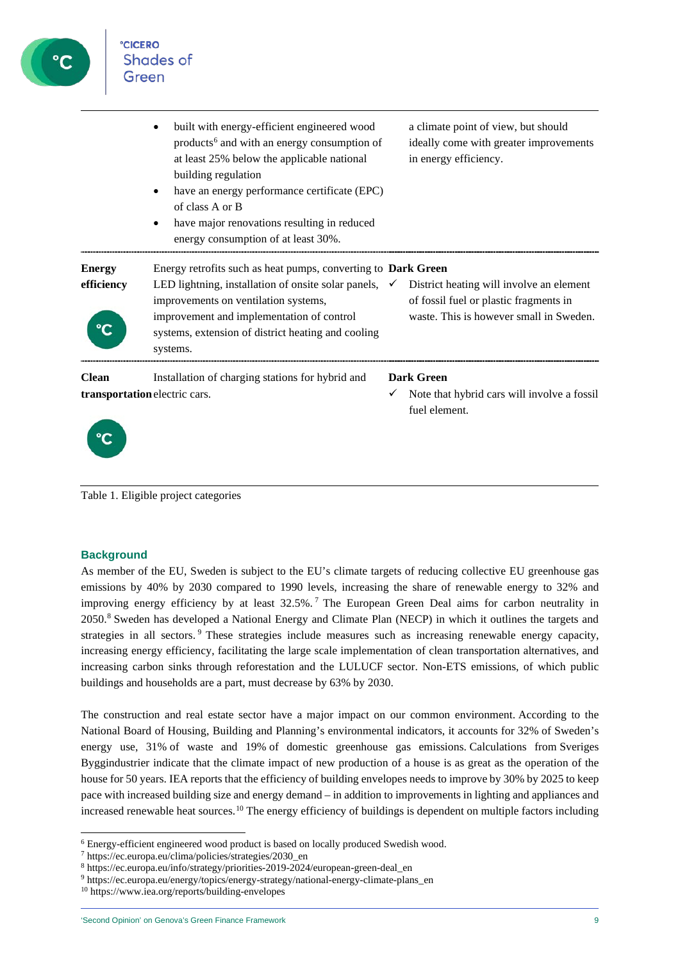

|                                                                                                   | built with energy-efficient engineered wood<br>products <sup>6</sup> and with an energy consumption of<br>at least 25% below the applicable national<br>building regulation<br>have an energy performance certificate (EPC)<br>of class A or B<br>have major renovations resulting in reduced<br>energy consumption of at least 30%. |   | a climate point of view, but should<br>ideally come with greater improvements<br>in energy efficiency.                        |
|---------------------------------------------------------------------------------------------------|--------------------------------------------------------------------------------------------------------------------------------------------------------------------------------------------------------------------------------------------------------------------------------------------------------------------------------------|---|-------------------------------------------------------------------------------------------------------------------------------|
| <b>Energy</b><br>efficiency                                                                       | Energy retrofits such as heat pumps, converting to Dark Green<br>LED lightning, installation of onsite solar panels,<br>improvements on ventilation systems,<br>improvement and implementation of control<br>systems, extension of district heating and cooling<br>systems.                                                          | ✓ | District heating will involve an element<br>of fossil fuel or plastic fragments in<br>waste. This is however small in Sweden. |
| <b>Clean</b><br>Installation of charging stations for hybrid and<br>transportation electric cars. |                                                                                                                                                                                                                                                                                                                                      |   | <b>Dark Green</b><br>Note that hybrid cars will involve a fossil<br>fuel element.                                             |



Table 1. Eligible project categories

### **Background**

As member of the EU, Sweden is subject to the EU's climate targets of reducing collective EU greenhouse gas emissions by 40% by 2030 compared to 1990 levels, increasing the share of renewable energy to 32% and improving energy efficiency by at least 32.5%.<sup>[7](#page-8-1)</sup> The European Green Deal aims for carbon neutrality in 2050.[8](#page-8-2) Sweden has developed a National Energy and Climate Plan (NECP) in which it outlines the targets and strategies in all sectors. <sup>[9](#page-8-3)</sup> These strategies include measures such as increasing renewable energy capacity, increasing energy efficiency, facilitating the large scale implementation of clean transportation alternatives, and increasing carbon sinks through reforestation and the LULUCF sector. Non-ETS emissions, of which public buildings and households are a part, must decrease by 63% by 2030.

The construction and real estate sector have a major impact on our common environment. According to the National Board of Housing, Building and Planning's environmental indicators, it accounts for 32% of Sweden's energy use, 31% of waste and 19% of domestic greenhouse gas emissions. Calculations from Sveriges Byggindustrier indicate that the climate impact of new production of a house is as great as the operation of the house for 50 years. IEA reports that the efficiency of building envelopes needs to improve by 30% by 2025 to keep pace with increased building size and energy demand – in addition to improvements in lighting and appliances and increased renewable heat sources.<sup>[10](#page-8-4)</sup> The energy efficiency of buildings is dependent on multiple factors including

<span id="page-8-0"></span><sup>6</sup> Energy-efficient engineered wood product is based on locally produced Swedish wood.

<span id="page-8-1"></span><sup>7</sup> [https://ec.europa.eu/clima/policies/strategies/2030\\_en](https://ec.europa.eu/clima/policies/strategies/2030_en)

<span id="page-8-2"></span><sup>8</sup> [https://ec.europa.eu/info/strategy/priorities-2019-2024/european-green-deal\\_en](https://ec.europa.eu/info/strategy/priorities-2019-2024/european-green-deal_en)

<span id="page-8-3"></span><sup>9</sup> [https://ec.europa.eu/energy/topics/energy-strategy/national-energy-climate-plans\\_en](https://ec.europa.eu/energy/topics/energy-strategy/national-energy-climate-plans_en)

<span id="page-8-4"></span><sup>10</sup> <https://www.iea.org/reports/building-envelopes>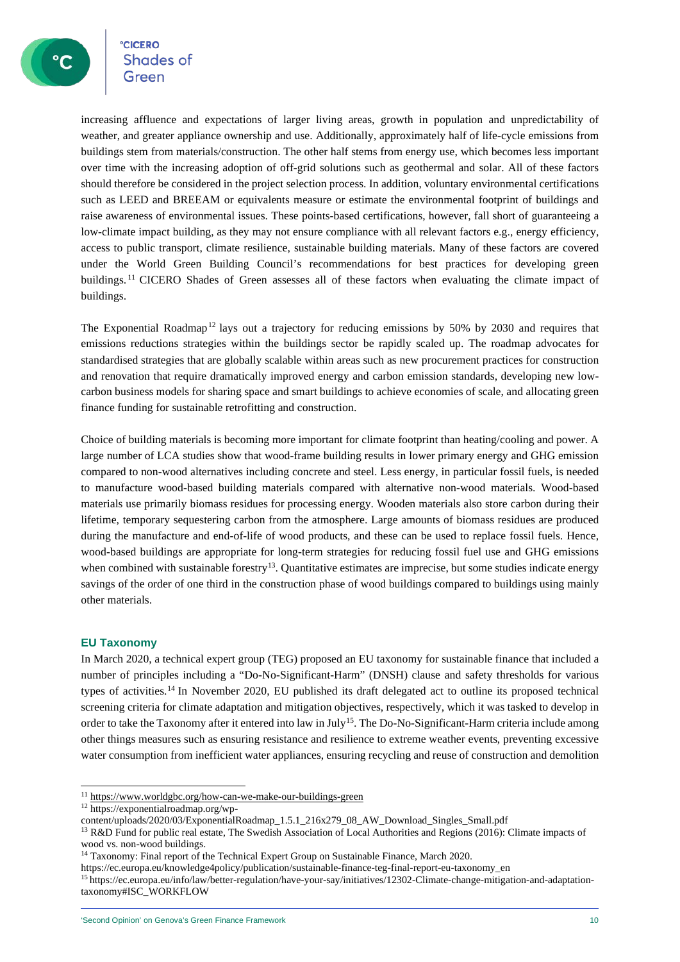°cicero<br>Shades of

increasing affluence and expectations of larger living areas, growth in population and unpredictability of weather, and greater appliance ownership and use. Additionally, approximately half of life-cycle emissions from buildings stem from materials/construction. The other half stems from energy use, which becomes less important over time with the increasing adoption of off-grid solutions such as geothermal and solar. All of these factors should therefore be considered in the project selection process. In addition, voluntary environmental certifications such as LEED and BREEAM or equivalents measure or estimate the environmental footprint of buildings and raise awareness of environmental issues. These points-based certifications, however, fall short of guaranteeing a low-climate impact building, as they may not ensure compliance with all relevant factors e.g., energy efficiency, access to public transport, climate resilience, sustainable building materials. Many of these factors are covered under the World Green Building Council's recommendations for best practices for developing green buildings. [11](#page-9-0) CICERO Shades of Green assesses all of these factors when evaluating the climate impact of buildings.

The Exponential Roadmap<sup>[12](#page-9-1)</sup> lays out a trajectory for reducing emissions by 50% by 2030 and requires that emissions reductions strategies within the buildings sector be rapidly scaled up. The roadmap advocates for standardised strategies that are globally scalable within areas such as new procurement practices for construction and renovation that require dramatically improved energy and carbon emission standards, developing new lowcarbon business models for sharing space and smart buildings to achieve economies of scale, and allocating green finance funding for sustainable retrofitting and construction.

Choice of building materials is becoming more important for climate footprint than heating/cooling and power. A large number of LCA studies show that wood-frame building results in lower primary energy and GHG emission compared to non-wood alternatives including concrete and steel. Less energy, in particular fossil fuels, is needed to manufacture wood-based building materials compared with alternative non-wood materials. Wood-based materials use primarily biomass residues for processing energy. Wooden materials also store carbon during their lifetime, temporary sequestering carbon from the atmosphere. Large amounts of biomass residues are produced during the manufacture and end-of-life of wood products, and these can be used to replace fossil fuels. Hence, wood-based buildings are appropriate for long-term strategies for reducing fossil fuel use and GHG emissions when combined with sustainable forestry<sup>[13](#page-9-2)</sup>. Quantitative estimates are imprecise, but some studies indicate energy savings of the order of one third in the construction phase of wood buildings compared to buildings using mainly other materials.

### **EU Taxonomy**

In March 2020, a technical expert group (TEG) proposed an EU taxonomy for sustainable finance that included a number of principles including a "Do-No-Significant-Harm" (DNSH) clause and safety thresholds for various types of activities.[14](#page-9-3) In November 2020, EU published its draft delegated act to outline its proposed technical screening criteria for climate adaptation and mitigation objectives, respectively, which it was tasked to develop in order to take the Taxonomy after it entered into law in July<sup>15</sup>. The Do-No-Significant-Harm criteria include among other things measures such as ensuring resistance and resilience to extreme weather events, preventing excessive water consumption from inefficient water appliances, ensuring recycling and reuse of construction and demolition

<span id="page-9-0"></span><sup>11</sup> <https://www.worldgbc.org/how-can-we-make-our-buildings-green>

<span id="page-9-1"></span><sup>12</sup> [https://exponentialroadmap.org/wp-](https://exponentialroadmap.org/wp-content/uploads/2020/03/ExponentialRoadmap_1.5.1_216x279_08_AW_Download_Singles_Small.pdf)

[content/uploads/2020/03/ExponentialRoadmap\\_1.5.1\\_216x279\\_08\\_AW\\_Download\\_Singles\\_Small.pdf](https://exponentialroadmap.org/wp-content/uploads/2020/03/ExponentialRoadmap_1.5.1_216x279_08_AW_Download_Singles_Small.pdf)

<span id="page-9-2"></span><sup>&</sup>lt;sup>13</sup> R&D Fund for public real estate, The Swedish Association of Local Authorities and Regions (2016): Climate impacts of wood vs. non-wood buildings.

<span id="page-9-3"></span><sup>&</sup>lt;sup>14</sup> Taxonomy: Final report of the Technical Expert Group on Sustainable Finance, March 2020.

[https://ec.europa.eu/knowledge4policy/publication/sustainable-finance-teg-final-report-eu-taxonomy\\_en](https://ec.europa.eu/knowledge4policy/publication/sustainable-finance-teg-final-report-eu-taxonomy_en)

<span id="page-9-4"></span><sup>15</sup> [https://ec.europa.eu/info/law/better-regulation/have-your-say/initiatives/12302-Climate-change-mitigation-and-adaptation](https://ec.europa.eu/info/law/better-regulation/have-your-say/initiatives/12302-Climate-change-mitigation-and-adaptation-taxonomy#ISC_WORKFLOW)[taxonomy#ISC\\_WORKFLOW](https://ec.europa.eu/info/law/better-regulation/have-your-say/initiatives/12302-Climate-change-mitigation-and-adaptation-taxonomy#ISC_WORKFLOW)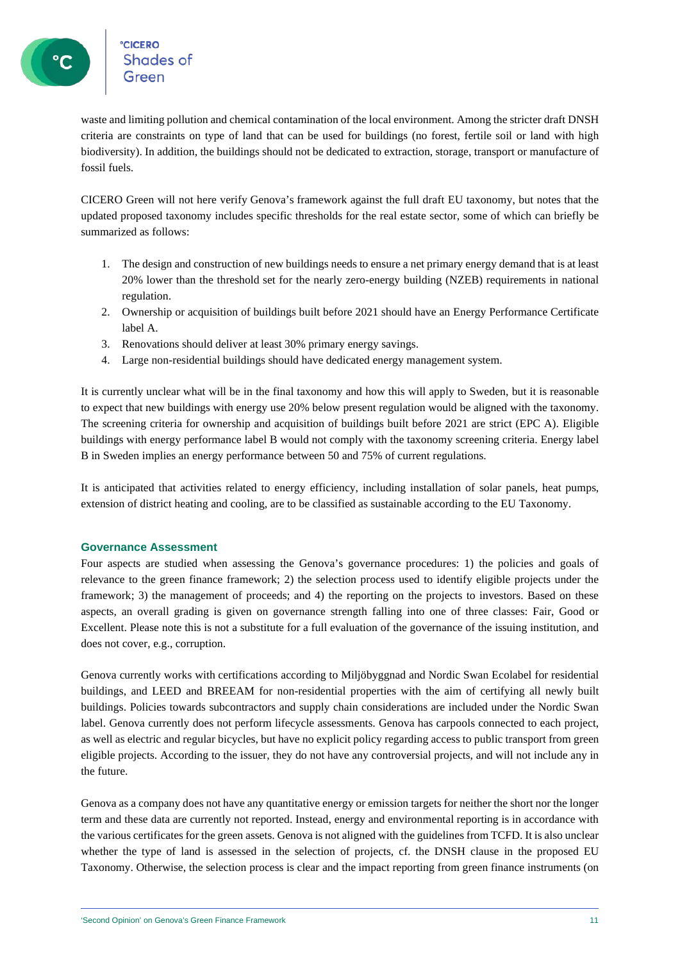°cic<mark>ero</mark><br>Shades of

waste and limiting pollution and chemical contamination of the local environment. Among the stricter draft DNSH criteria are constraints on type of land that can be used for buildings (no forest, fertile soil or land with high biodiversity). In addition, the buildings should not be dedicated to extraction, storage, transport or manufacture of fossil fuels.

CICERO Green will not here verify Genova's framework against the full draft EU taxonomy, but notes that the updated proposed taxonomy includes specific thresholds for the real estate sector, some of which can briefly be summarized as follows:

- 1. The design and construction of new buildings needs to ensure a net primary energy demand that is at least 20% lower than the threshold set for the nearly zero-energy building (NZEB) requirements in national regulation.
- 2. Ownership or acquisition of buildings built before 2021 should have an Energy Performance Certificate label A.
- 3. Renovations should deliver at least 30% primary energy savings.
- 4. Large non-residential buildings should have dedicated energy management system.

It is currently unclear what will be in the final taxonomy and how this will apply to Sweden, but it is reasonable to expect that new buildings with energy use 20% below present regulation would be aligned with the taxonomy. The screening criteria for ownership and acquisition of buildings built before 2021 are strict (EPC A). Eligible buildings with energy performance label B would not comply with the taxonomy screening criteria. Energy label B in Sweden implies an energy performance between 50 and 75% of current regulations.

It is anticipated that activities related to energy efficiency, including installation of solar panels, heat pumps, extension of district heating and cooling, are to be classified as sustainable according to the EU Taxonomy.

### **Governance Assessment**

Four aspects are studied when assessing the Genova's governance procedures: 1) the policies and goals of relevance to the green finance framework; 2) the selection process used to identify eligible projects under the framework; 3) the management of proceeds; and 4) the reporting on the projects to investors. Based on these aspects, an overall grading is given on governance strength falling into one of three classes: Fair, Good or Excellent. Please note this is not a substitute for a full evaluation of the governance of the issuing institution, and does not cover, e.g., corruption.

Genova currently works with certifications according to Miljöbyggnad and Nordic Swan Ecolabel for residential buildings, and LEED and BREEAM for non-residential properties with the aim of certifying all newly built buildings. Policies towards subcontractors and supply chain considerations are included under the Nordic Swan label. Genova currently does not perform lifecycle assessments. Genova has carpools connected to each project, as well as electric and regular bicycles, but have no explicit policy regarding access to public transport from green eligible projects. According to the issuer, they do not have any controversial projects, and will not include any in the future.

Genova as a company does not have any quantitative energy or emission targets for neither the short nor the longer term and these data are currently not reported. Instead, energy and environmental reporting is in accordance with the various certificates for the green assets. Genova is not aligned with the guidelines from TCFD. It is also unclear whether the type of land is assessed in the selection of projects, cf. the DNSH clause in the proposed EU Taxonomy. Otherwise, the selection process is clear and the impact reporting from green finance instruments (on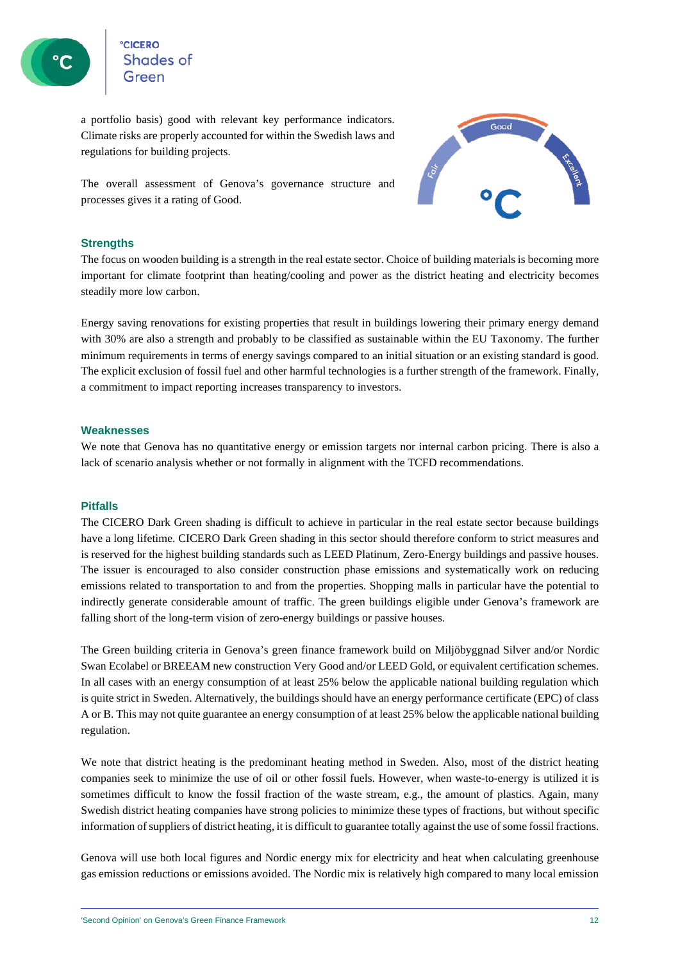

сісеко<br>Shades of

a portfolio basis) good with relevant key performance indicators. Climate risks are properly accounted for within the Swedish laws and regulations for building projects.

The overall assessment of Genova's governance structure and processes gives it a rating of Good.



### **Strengths**

The focus on wooden building is a strength in the real estate sector. Choice of building materials is becoming more important for climate footprint than heating/cooling and power as the district heating and electricity becomes steadily more low carbon.

Energy saving renovations for existing properties that result in buildings lowering their primary energy demand with 30% are also a strength and probably to be classified as sustainable within the EU Taxonomy. The further minimum requirements in terms of energy savings compared to an initial situation or an existing standard is good. The explicit exclusion of fossil fuel and other harmful technologies is a further strength of the framework. Finally, a commitment to impact reporting increases transparency to investors.

### **Weaknesses**

We note that Genova has no quantitative energy or emission targets nor internal carbon pricing. There is also a lack of scenario analysis whether or not formally in alignment with the TCFD recommendations.

#### **Pitfalls**

The CICERO Dark Green shading is difficult to achieve in particular in the real estate sector because buildings have a long lifetime. CICERO Dark Green shading in this sector should therefore conform to strict measures and is reserved for the highest building standards such as LEED Platinum, Zero-Energy buildings and passive houses. The issuer is encouraged to also consider construction phase emissions and systematically work on reducing emissions related to transportation to and from the properties. Shopping malls in particular have the potential to indirectly generate considerable amount of traffic. The green buildings eligible under Genova's framework are falling short of the long-term vision of zero-energy buildings or passive houses.

The Green building criteria in Genova's green finance framework build on Miljöbyggnad Silver and/or Nordic Swan Ecolabel or BREEAM new construction Very Good and/or LEED Gold, or equivalent certification schemes. In all cases with an energy consumption of at least 25% below the applicable national building regulation which is quite strict in Sweden. Alternatively, the buildings should have an energy performance certificate (EPC) of class A or B. This may not quite guarantee an energy consumption of at least 25% below the applicable national building regulation.

We note that district heating is the predominant heating method in Sweden. Also, most of the district heating companies seek to minimize the use of oil or other fossil fuels. However, when waste-to-energy is utilized it is sometimes difficult to know the fossil fraction of the waste stream, e.g., the amount of plastics. Again, many Swedish district heating companies have strong policies to minimize these types of fractions, but without specific information of suppliers of district heating, it is difficult to guarantee totally against the use of some fossil fractions.

Genova will use both local figures and Nordic energy mix for electricity and heat when calculating greenhouse gas emission reductions or emissions avoided. The Nordic mix is relatively high compared to many local emission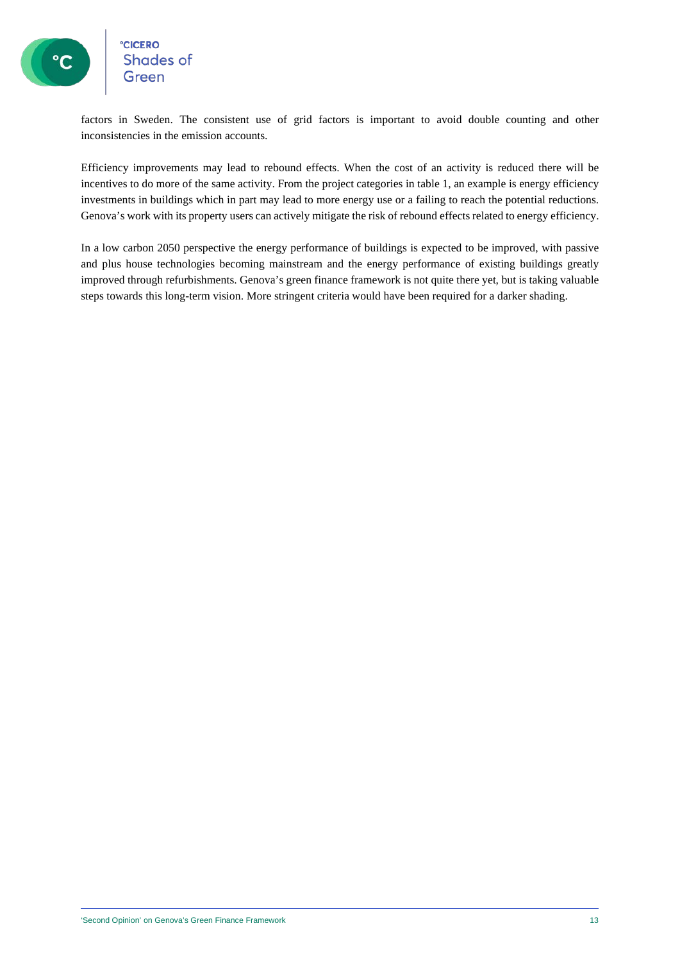# **CICERO**<br>Shades of

factors in Sweden. The consistent use of grid factors is important to avoid double counting and other inconsistencies in the emission accounts.

Efficiency improvements may lead to rebound effects. When the cost of an activity is reduced there will be incentives to do more of the same activity. From the project categories in table 1, an example is energy efficiency investments in buildings which in part may lead to more energy use or a failing to reach the potential reductions. Genova's work with its property users can actively mitigate the risk of rebound effects related to energy efficiency.

In a low carbon 2050 perspective the energy performance of buildings is expected to be improved, with passive and plus house technologies becoming mainstream and the energy performance of existing buildings greatly improved through refurbishments. Genova's green finance framework is not quite there yet, but is taking valuable steps towards this long-term vision. More stringent criteria would have been required for a darker shading.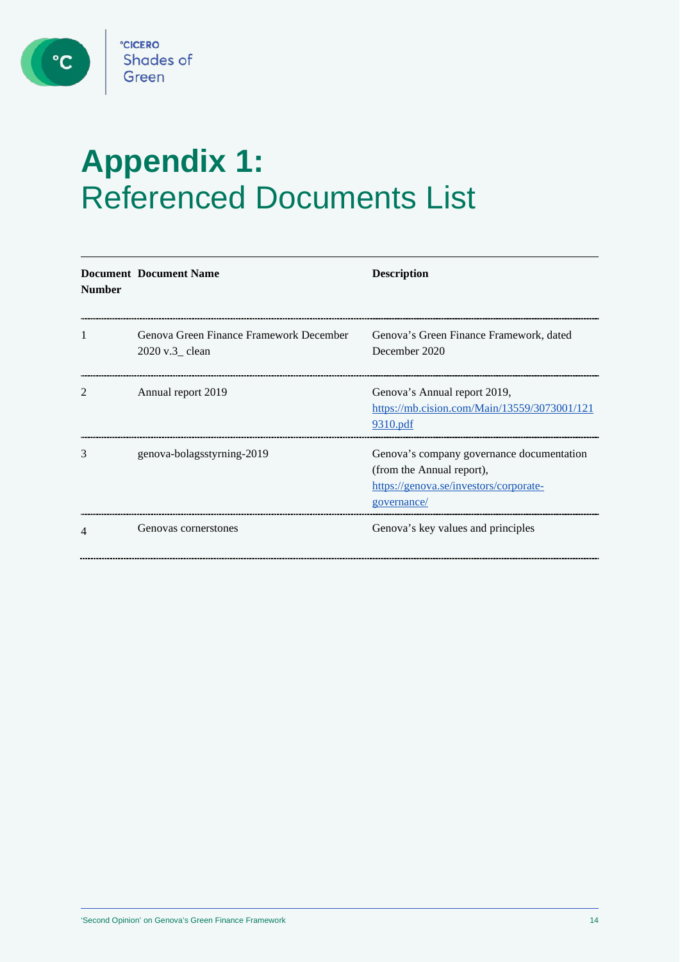$\bullet$ 

# **Appendix 1:**  Referenced Documents List

| <b>Number</b> | <b>Document Document Name</b>                              | <b>Description</b>                                                                                                              |
|---------------|------------------------------------------------------------|---------------------------------------------------------------------------------------------------------------------------------|
| 1             | Genova Green Finance Framework December<br>2020 v.3_ clean | Genova's Green Finance Framework, dated<br>December 2020                                                                        |
|               | Annual report 2019                                         | Genova's Annual report 2019,<br>https://mb.cision.com/Main/13559/3073001/121<br>9310.pdf                                        |
| 3             | genova-bolagsstyrning-2019                                 | Genova's company governance documentation<br>(from the Annual report),<br>https://genova.se/investors/corporate-<br>governance/ |
| 4             | Genovas cornerstones                                       | Genova's key values and principles                                                                                              |